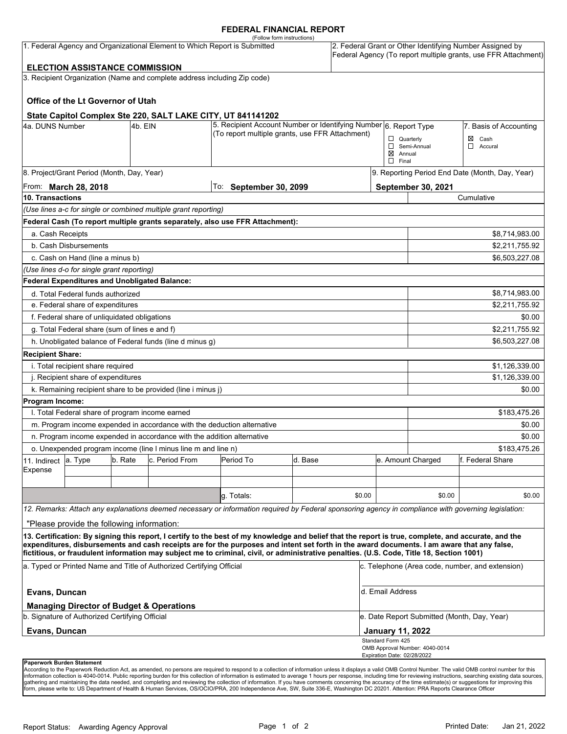### **FEDERAL FINANCIAL REPORT**

| (Follow form instructions)<br>1. Federal Agency and Organizational Element to Which Report is Submitted<br><b>ELECTION ASSISTANCE COMMISSION</b> |                                                 |         |                                                                          |                                                                                                                                                                                                                                                                                                    |         |        | 2. Federal Grant or Other Identifying Number Assigned by<br>Federal Agency (To report multiple grants, use FFR Attachment) |                                                 |                  |  |
|--------------------------------------------------------------------------------------------------------------------------------------------------|-------------------------------------------------|---------|--------------------------------------------------------------------------|----------------------------------------------------------------------------------------------------------------------------------------------------------------------------------------------------------------------------------------------------------------------------------------------------|---------|--------|----------------------------------------------------------------------------------------------------------------------------|-------------------------------------------------|------------------|--|
|                                                                                                                                                  |                                                 |         | 3. Recipient Organization (Name and complete address including Zip code) |                                                                                                                                                                                                                                                                                                    |         |        |                                                                                                                            |                                                 |                  |  |
|                                                                                                                                                  |                                                 |         |                                                                          |                                                                                                                                                                                                                                                                                                    |         |        |                                                                                                                            |                                                 |                  |  |
|                                                                                                                                                  | Office of the Lt Governor of Utah               |         |                                                                          |                                                                                                                                                                                                                                                                                                    |         |        |                                                                                                                            |                                                 |                  |  |
|                                                                                                                                                  |                                                 |         |                                                                          |                                                                                                                                                                                                                                                                                                    |         |        |                                                                                                                            |                                                 |                  |  |
| State Capitol Complex Ste 220, SALT LAKE CITY, UT 841141202<br>4a. DUNS Number<br>4b. EIN                                                        |                                                 |         |                                                                          | 5. Recipient Account Number or Identifying Number 6. Report Type                                                                                                                                                                                                                                   |         |        | 7. Basis of Accounting                                                                                                     |                                                 |                  |  |
|                                                                                                                                                  |                                                 |         |                                                                          | (To report multiple grants, use FFR Attachment)                                                                                                                                                                                                                                                    |         |        |                                                                                                                            | $\Box$ Quarterly                                | Cash<br>⊠        |  |
|                                                                                                                                                  |                                                 |         |                                                                          |                                                                                                                                                                                                                                                                                                    |         |        |                                                                                                                            | Semi-Annual                                     | $\Box$ Accural   |  |
|                                                                                                                                                  |                                                 |         |                                                                          |                                                                                                                                                                                                                                                                                                    |         |        | $\boxtimes$ Annual<br>$\Box$ Final                                                                                         |                                                 |                  |  |
|                                                                                                                                                  | 8. Project/Grant Period (Month, Day, Year)      |         |                                                                          |                                                                                                                                                                                                                                                                                                    |         |        |                                                                                                                            | 9. Reporting Period End Date (Month, Day, Year) |                  |  |
| From: <b>March 28, 2018</b>                                                                                                                      |                                                 |         |                                                                          | To: September 30, 2099                                                                                                                                                                                                                                                                             |         |        |                                                                                                                            | September 30, 2021                              |                  |  |
| 10. Transactions                                                                                                                                 |                                                 |         |                                                                          |                                                                                                                                                                                                                                                                                                    |         |        |                                                                                                                            | Cumulative                                      |                  |  |
|                                                                                                                                                  |                                                 |         | (Use lines a-c for single or combined multiple grant reporting)          |                                                                                                                                                                                                                                                                                                    |         |        |                                                                                                                            |                                                 |                  |  |
|                                                                                                                                                  |                                                 |         |                                                                          | Federal Cash (To report multiple grants separately, also use FFR Attachment):                                                                                                                                                                                                                      |         |        |                                                                                                                            |                                                 |                  |  |
| a. Cash Receipts                                                                                                                                 |                                                 |         |                                                                          |                                                                                                                                                                                                                                                                                                    |         |        |                                                                                                                            |                                                 | \$8,714,983.00   |  |
| b. Cash Disbursements                                                                                                                            |                                                 |         |                                                                          |                                                                                                                                                                                                                                                                                                    |         |        | \$2,211,755.92                                                                                                             |                                                 |                  |  |
|                                                                                                                                                  | c. Cash on Hand (line a minus b)                |         |                                                                          |                                                                                                                                                                                                                                                                                                    |         |        |                                                                                                                            |                                                 | \$6,503,227.08   |  |
|                                                                                                                                                  | (Use lines d-o for single grant reporting)      |         |                                                                          |                                                                                                                                                                                                                                                                                                    |         |        |                                                                                                                            |                                                 |                  |  |
|                                                                                                                                                  | Federal Expenditures and Unobligated Balance:   |         |                                                                          |                                                                                                                                                                                                                                                                                                    |         |        |                                                                                                                            |                                                 |                  |  |
|                                                                                                                                                  | d. Total Federal funds authorized               |         |                                                                          |                                                                                                                                                                                                                                                                                                    |         |        |                                                                                                                            |                                                 | \$8,714,983.00   |  |
| e. Federal share of expenditures                                                                                                                 |                                                 |         |                                                                          |                                                                                                                                                                                                                                                                                                    |         |        |                                                                                                                            | \$2,211,755.92                                  |                  |  |
| f. Federal share of unliquidated obligations                                                                                                     |                                                 |         |                                                                          |                                                                                                                                                                                                                                                                                                    |         |        |                                                                                                                            | \$0.00                                          |                  |  |
| g. Total Federal share (sum of lines e and f)                                                                                                    |                                                 |         |                                                                          |                                                                                                                                                                                                                                                                                                    |         |        |                                                                                                                            | \$2,211,755.92                                  |                  |  |
|                                                                                                                                                  |                                                 |         | h. Unobligated balance of Federal funds (line d minus g)                 |                                                                                                                                                                                                                                                                                                    |         |        |                                                                                                                            |                                                 | \$6,503,227.08   |  |
| <b>Recipient Share:</b>                                                                                                                          |                                                 |         |                                                                          |                                                                                                                                                                                                                                                                                                    |         |        |                                                                                                                            |                                                 |                  |  |
|                                                                                                                                                  |                                                 |         |                                                                          |                                                                                                                                                                                                                                                                                                    |         |        |                                                                                                                            |                                                 | \$1,126,339.00   |  |
| i. Total recipient share required<br>j. Recipient share of expenditures                                                                          |                                                 |         |                                                                          |                                                                                                                                                                                                                                                                                                    |         |        |                                                                                                                            | \$1,126,339.00                                  |                  |  |
| k. Remaining recipient share to be provided (line i minus j)                                                                                     |                                                 |         |                                                                          |                                                                                                                                                                                                                                                                                                    |         |        |                                                                                                                            | \$0.00                                          |                  |  |
| Program Income:                                                                                                                                  |                                                 |         |                                                                          |                                                                                                                                                                                                                                                                                                    |         |        |                                                                                                                            |                                                 |                  |  |
|                                                                                                                                                  | I. Total Federal share of program income earned |         |                                                                          |                                                                                                                                                                                                                                                                                                    |         |        |                                                                                                                            |                                                 | \$183,475.26     |  |
|                                                                                                                                                  |                                                 |         | m. Program income expended in accordance with the deduction alternative  |                                                                                                                                                                                                                                                                                                    |         |        |                                                                                                                            | \$0.00                                          |                  |  |
|                                                                                                                                                  |                                                 |         |                                                                          |                                                                                                                                                                                                                                                                                                    |         |        |                                                                                                                            | \$0.00                                          |                  |  |
| n. Program income expended in accordance with the addition alternative<br>o. Unexpended program income (line I minus line m and line n)          |                                                 |         |                                                                          |                                                                                                                                                                                                                                                                                                    |         |        |                                                                                                                            | \$183.475.26                                    |                  |  |
| 11. Indirect                                                                                                                                     | a. Type                                         | b. Rate | c. Period From                                                           | Period To                                                                                                                                                                                                                                                                                          | d. Base |        |                                                                                                                            | e. Amount Charged                               | f. Federal Share |  |
| Expense                                                                                                                                          |                                                 |         |                                                                          |                                                                                                                                                                                                                                                                                                    |         |        |                                                                                                                            |                                                 |                  |  |
|                                                                                                                                                  |                                                 |         |                                                                          |                                                                                                                                                                                                                                                                                                    |         |        |                                                                                                                            |                                                 |                  |  |
|                                                                                                                                                  |                                                 |         |                                                                          | g. Totals:                                                                                                                                                                                                                                                                                         |         | \$0.00 |                                                                                                                            | \$0.00                                          | \$0.00           |  |
|                                                                                                                                                  |                                                 |         |                                                                          | 12. Remarks: Attach any explanations deemed necessary or information required by Federal sponsoring agency in compliance with governing legislation:                                                                                                                                               |         |        |                                                                                                                            |                                                 |                  |  |
|                                                                                                                                                  |                                                 |         |                                                                          |                                                                                                                                                                                                                                                                                                    |         |        |                                                                                                                            |                                                 |                  |  |
|                                                                                                                                                  | "Please provide the following information:      |         |                                                                          |                                                                                                                                                                                                                                                                                                    |         |        |                                                                                                                            |                                                 |                  |  |
|                                                                                                                                                  |                                                 |         |                                                                          | 13. Certification: By signing this report, I certify to the best of my knowledge and belief that the report is true, complete, and accurate, and the<br>expenditures, disbursements and cash receipts are for the purposes and intent set forth in the award documents. I am aware that any false, |         |        |                                                                                                                            |                                                 |                  |  |
|                                                                                                                                                  |                                                 |         |                                                                          | fictitious, or fraudulent information may subject me to criminal, civil, or administrative penalties. (U.S. Code, Title 18, Section 1001)                                                                                                                                                          |         |        |                                                                                                                            |                                                 |                  |  |
| a. Typed or Printed Name and Title of Authorized Certifying Official                                                                             |                                                 |         |                                                                          |                                                                                                                                                                                                                                                                                                    |         |        | c. Telephone (Area code, number, and extension)                                                                            |                                                 |                  |  |
| Evans, Duncan                                                                                                                                    |                                                 |         |                                                                          |                                                                                                                                                                                                                                                                                                    |         |        | d. Email Address                                                                                                           |                                                 |                  |  |
|                                                                                                                                                  |                                                 |         | <b>Managing Director of Budget &amp; Operations</b>                      |                                                                                                                                                                                                                                                                                                    |         |        |                                                                                                                            |                                                 |                  |  |
| b. Signature of Authorized Certifying Official                                                                                                   |                                                 |         |                                                                          |                                                                                                                                                                                                                                                                                                    |         |        | e. Date Report Submitted (Month, Day, Year)                                                                                |                                                 |                  |  |
| Evans, Duncan                                                                                                                                    |                                                 |         |                                                                          |                                                                                                                                                                                                                                                                                                    |         |        | <b>January 11, 2022</b><br>Standard Form 425                                                                               |                                                 |                  |  |
|                                                                                                                                                  |                                                 |         |                                                                          |                                                                                                                                                                                                                                                                                                    |         |        | Expiration Date: 02/28/2022                                                                                                | OMB Approval Number: 4040-0014                  |                  |  |
|                                                                                                                                                  | Paperwork Burden Statement                      |         |                                                                          |                                                                                                                                                                                                                                                                                                    |         |        |                                                                                                                            |                                                 |                  |  |

According to the Paperwork Reduction Act, as amended, no persons are required to respond to a collection of information unless it displays a valid OMB Control Number. The valid OMB control number for this<br>information colle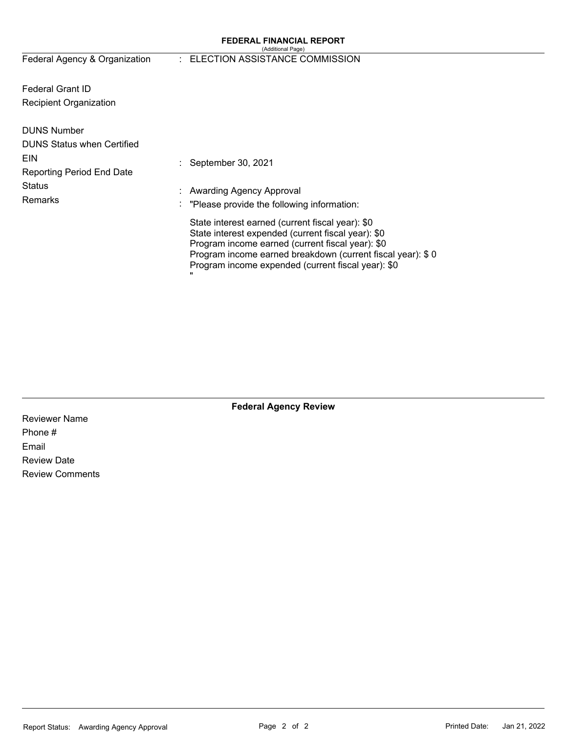#### **FEDERAL FINANCIAL REPORT**  (Additional Page)

Federal Agency & Organization

### : ELECTION ASSISTANCE COMMISSION

Federal Grant ID Recipient Organization

| <b>DUNS Number</b><br><b>DUNS Status when Certified</b> |                                                                                                                                                                                                                                                                                |
|---------------------------------------------------------|--------------------------------------------------------------------------------------------------------------------------------------------------------------------------------------------------------------------------------------------------------------------------------|
| <b>EIN</b><br><b>Reporting Period End Date</b>          | September 30, 2021                                                                                                                                                                                                                                                             |
| <b>Status</b><br>Remarks                                | : Awarding Agency Approval<br>$\therefore$ "Please provide the following information:                                                                                                                                                                                          |
|                                                         | State interest earned (current fiscal year): \$0<br>State interest expended (current fiscal year): \$0<br>Program income earned (current fiscal year): \$0<br>Program income earned breakdown (current fiscal year): \$0<br>Program income expended (current fiscal year): \$0 |

**Federal Agency Review** 

Reviewer Name Phone # Email Review Date Review Comments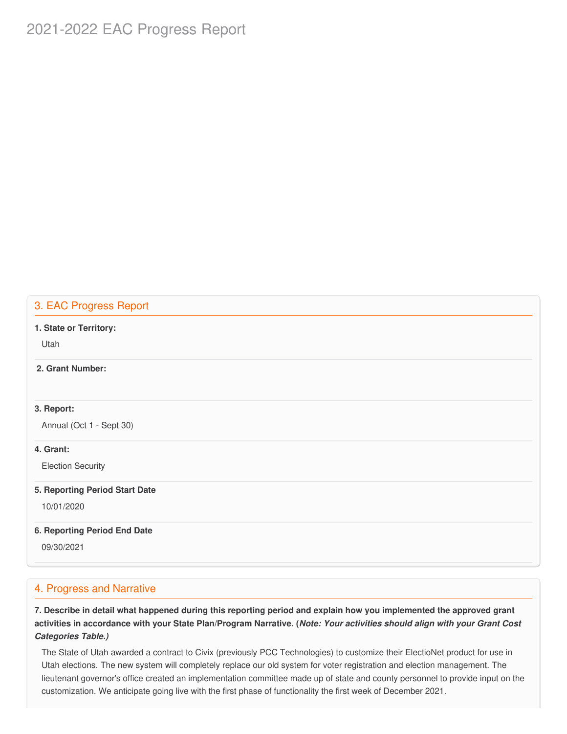# 2021-2022 EAC Progress Report

## 3. EAC Progress Report

#### **1. State or Territory:**

Utah

## **2. Grant Number:**

#### **3. Report:**

Annual (Oct 1 - Sept 30)

### **4. Grant:**

Election Security

#### **5. Reporting Period Start Date**

10/01/2020

#### **6. Reporting Period End Date**

09/30/2021

## 4. Progress and Narrative

7. Describe in detail what happened during this reporting period and explain how you implemented the approved grant activities in accordance with your State Plan/Program Narrative. (*Note: Your activities should align with your Grant Cost Categories Table.)*

 The State of Utah awarded a contract to Civix (previously PCC Technologies) to customize their ElectioNet product for use in Utah elections. The new system will completely replace our old system for voter registration and election management. The lieutenant governor's office created an implementation committee made up of state and county personnel to provide input on the customization. We anticipate going live with the first phase of functionality the first week of December 2021.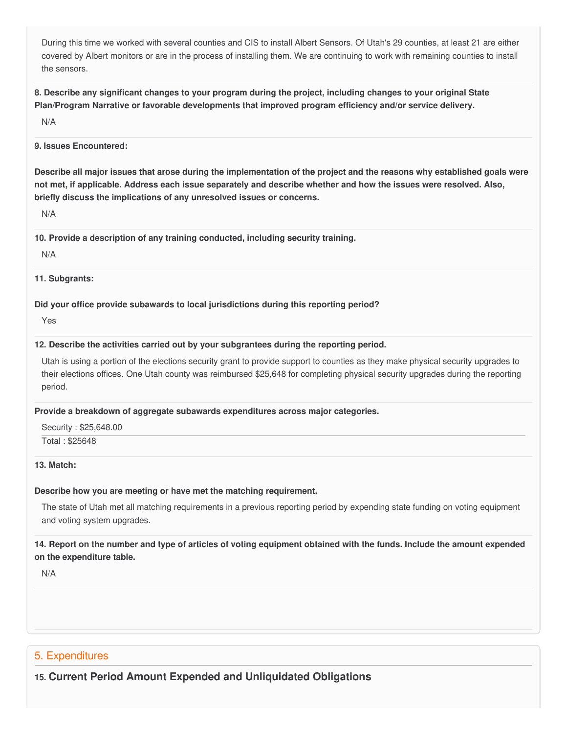During this time we worked with several counties and CIS to install Albert Sensors. Of Utah's 29 counties, at least 21 are either covered by Albert monitors or are in the process of installing them. We are continuing to work with remaining counties to install the sensors.

8. Describe any significant changes to your program during the project, including changes to your original State  **Plan/Program Narrative or favorable developments that improved program efficiency and/or service delivery.**

N/A

#### **9. Issues Encountered:**

Describe all major issues that arose during the implementation of the project and the reasons why established goals were not met, if applicable. Address each issue separately and describe whether and how the issues were resolved. Also,  **briefly discuss the implications of any unresolved issues or concerns.**

N/A

 **10. Provide a description of any training conducted, including security training.**

N/A

#### **11. Subgrants:**

 **Did your office provide subawards to local jurisdictions during this reporting period?**

Yes

#### **12. Describe the activities carried out by your subgrantees during the reporting period.**

 Utah is using a portion of the elections security grant to provide support to counties as they make physical security upgrades to their elections offices. One Utah county was reimbursed \$25,648 for completing physical security upgrades during the reporting period.

#### **Provide a breakdown of aggregate subawards expenditures across major categories.**

Security : \$[25,648.00](https://25,648.00)

Total : \$25648

#### **13. Match:**

#### **Describe how you are meeting or have met the matching requirement.**

 The state of Utah met all matching requirements in a previous reporting period by expending state funding on voting equipment and voting system upgrades.

## 14. Report on the number and type of articles of voting equipment obtained with the funds. Include the amount expended  **on the expenditure table.**

N/A

## 5. Expenditures

 **15. Current Period Amount Expended and Unliquidated Obligations**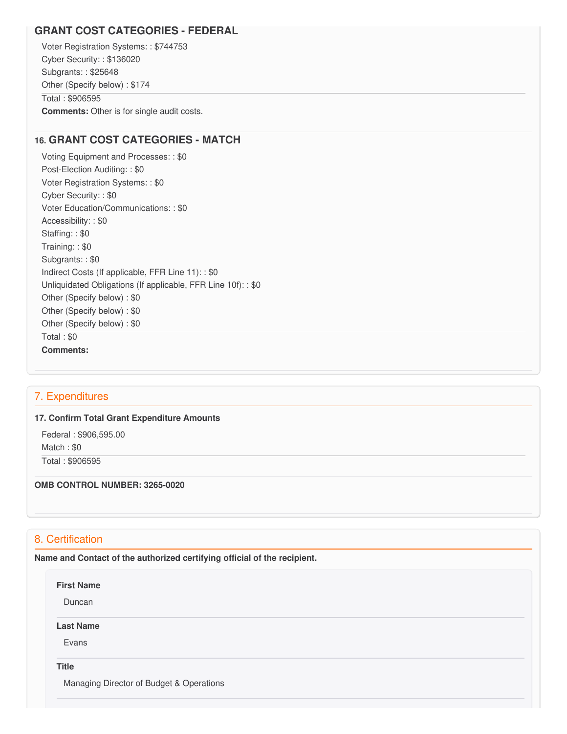## **GRANT COST CATEGORIES - FEDERAL**

 Voter Registration Systems: : \$744753 Cyber Security: : \$136020 Subgrants: : \$25648 Other (Specify below) : \$174 Total : \$906595 **Comments:** Other is for single audit costs.

## **16. GRANT COST CATEGORIES - MATCH**

 Voting Equipment and Processes: : \$0 Post-Election Auditing: : \$0 Voter Registration Systems: : \$0 Cyber Security: : \$0 Voter Education/Communications: : \$0 Accessibility: : \$0 Staffing: : \$0 Training: : \$0 Subgrants: : \$0 Indirect Costs (If applicable, FFR Line 11): : \$0 Unliquidated Obligations (If applicable, FFR Line 10f): : \$0 Other (Specify below) : \$0 Other (Specify below) : \$0 Other (Specify below) : \$0 Total : \$0 **Comments:**

## 7. Expenditures

#### **17. Confirm Total Grant Expenditure Amounts**

 Federal : \$906,595.00 Match : \$0 Total : \$906595

### **OMB CONTROL NUMBER: 3265-0020**

## 8. Certification

 **Name and Contact of the authorized certifying official of the recipient.**

#### **First Name**

Duncan

#### **Last Name**

Evans

#### **Title**

Managing Director of Budget & Operations